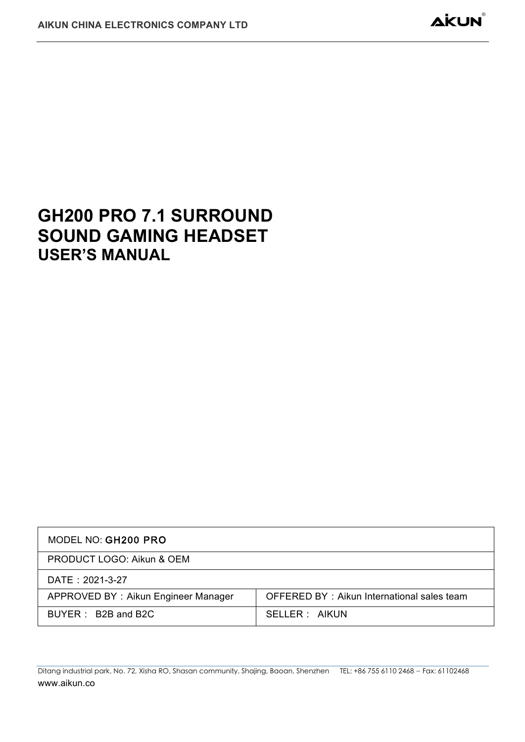# **GH200 PRO 7.1 SURROUND SOUND GAMING HEADSET USER'S MANUAL**

| MODEL NO: GH200 PRO                  |                                            |
|--------------------------------------|--------------------------------------------|
| <b>PRODUCT LOGO: Aikun &amp; OEM</b> |                                            |
| DATE: 2021-3-27                      |                                            |
| APPROVED BY: Aikun Engineer Manager  | OFFERED BY: Aikun International sales team |
| BUYER: B2B and B2C                   | SELLER : AIKUN                             |

Ditang industrial park, No. 72, Xisha RO, Shasan community, Shajing, Baoan, Shenzhen TEL: +86 755 6110 2468 - Fax: 61102468 www.aikun.co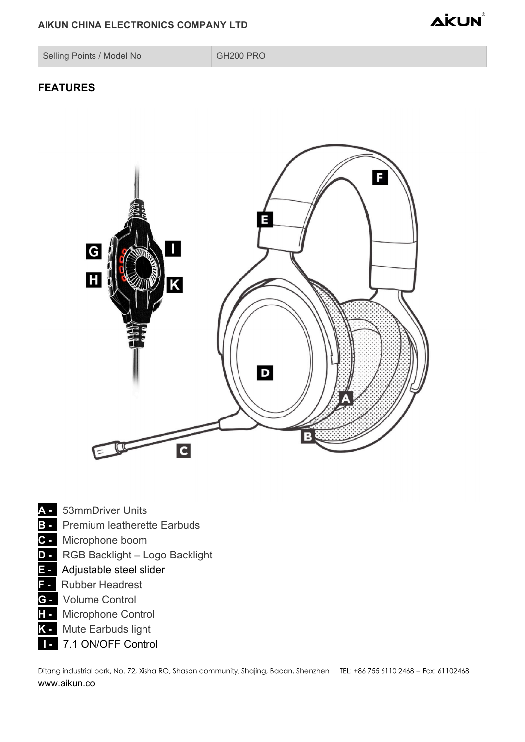## AIKUN CHINA ELECTRONICS COMPANY LTD



Selling Points / Model No

GH200 PRO

# **FEATURES**



- $\overline{F}$  Adjustable steel slider
- **F** Rubber Headrest
- **G** Volume Control
- **T** Microphone Control
- **K** Mute Earbuds light
- 7.1 ON/OFF Control п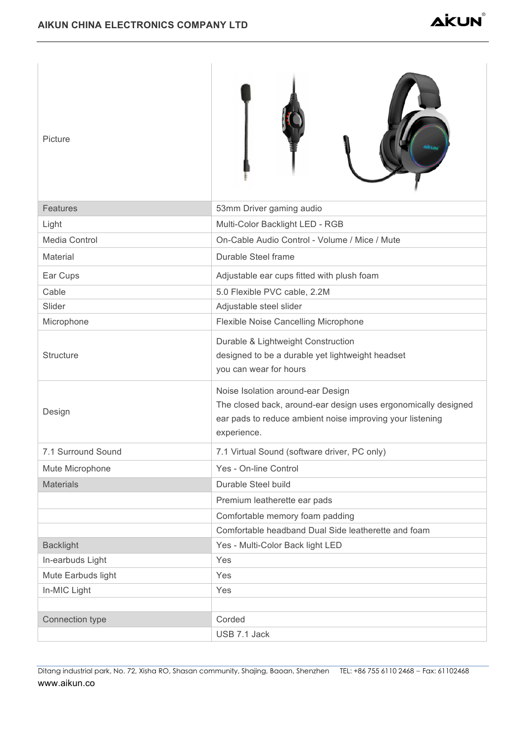| Picture            |                                                                                                                                                                                 |
|--------------------|---------------------------------------------------------------------------------------------------------------------------------------------------------------------------------|
| <b>Features</b>    | 53mm Driver gaming audio                                                                                                                                                        |
| Light              | Multi-Color Backlight LED - RGB                                                                                                                                                 |
| Media Control      | On-Cable Audio Control - Volume / Mice / Mute                                                                                                                                   |
| Material           | Durable Steel frame                                                                                                                                                             |
| Ear Cups           | Adjustable ear cups fitted with plush foam                                                                                                                                      |
| Cable              | 5.0 Flexible PVC cable, 2.2M                                                                                                                                                    |
| Slider             | Adjustable steel slider                                                                                                                                                         |
| Microphone         | Flexible Noise Cancelling Microphone                                                                                                                                            |
| Structure          | Durable & Lightweight Construction<br>designed to be a durable yet lightweight headset<br>you can wear for hours                                                                |
| Design             | Noise Isolation around-ear Design<br>The closed back, around-ear design uses ergonomically designed<br>ear pads to reduce ambient noise improving your listening<br>experience. |
| 7.1 Surround Sound | 7.1 Virtual Sound (software driver, PC only)                                                                                                                                    |
| Mute Microphone    | Yes - On-line Control                                                                                                                                                           |
| <b>Materials</b>   | Durable Steel build                                                                                                                                                             |
|                    | Premium leatherette ear pads                                                                                                                                                    |
|                    | Comfortable memory foam padding                                                                                                                                                 |
|                    | Comfortable headband Dual Side leatherette and foam                                                                                                                             |
| <b>Backlight</b>   | Yes - Multi-Color Back light LED                                                                                                                                                |
| In-earbuds Light   | Yes                                                                                                                                                                             |
| Mute Earbuds light | Yes                                                                                                                                                                             |
| In-MIC Light       | Yes                                                                                                                                                                             |
| Connection type    | Corded<br>USB 7.1 Jack                                                                                                                                                          |

Ditang industrial park, No. 72, Xisha RO, Shasan community, Shajing, Baoan, Shenzhen TEL: +86 755 6110 2468 – Fax: 61102468 www.aikun.co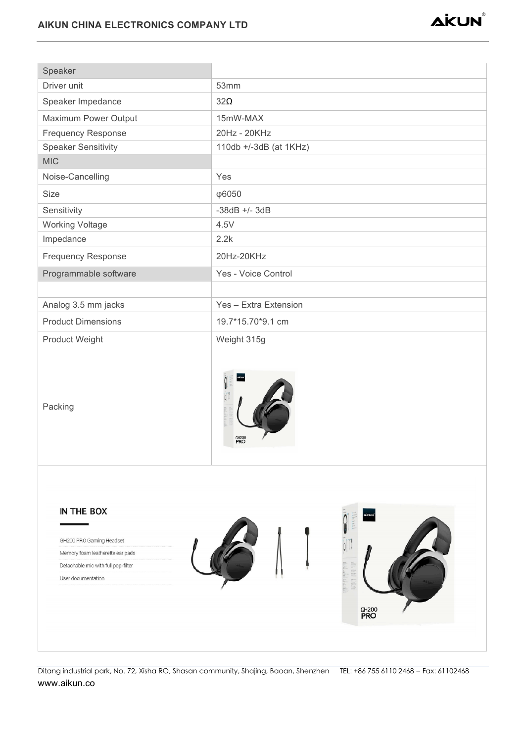

Ditang industrial park, No. 72, Xisha RO, Shasan community, Shajing, Baoan, Shenzhen TEL: +86 755 6110 2468 - Fax: 61102468 www.aikun.co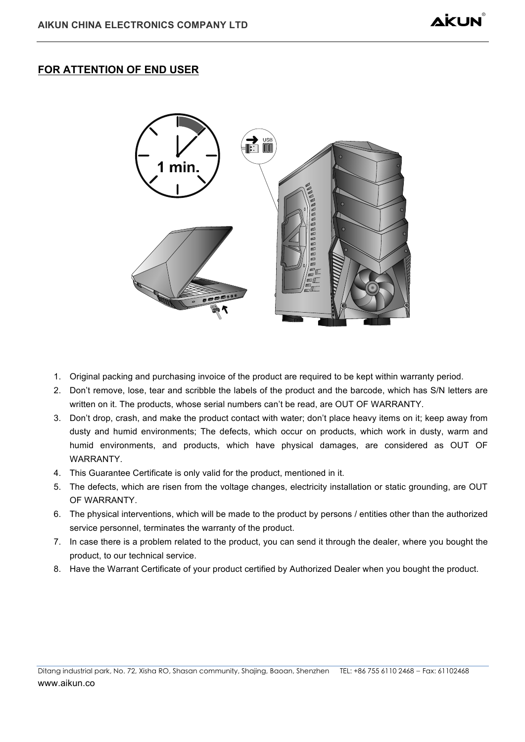# FOR ATTENTION OF END USER



- 1. Original packing and purchasing invoice of the product are required to be kept within warranty period.
- 2. Don't remove, lose, tear and scribble the labels of the product and the barcode, which has S/N letters are written on it. The products, whose serial numbers can't be read, are OUT OF WARRANTY.
- 3. Don't drop, crash, and make the product contact with water; don't place heavy items on it; keep away from dusty and humid environments; The defects, which occur on products, which work in dusty, warm and humid environments, and products, which have physical damages, are considered as OUT OF WARRANTY.
- 4. This Guarantee Certificate is only valid for the product, mentioned in it.
- 5. The defects, which are risen from the voltage changes, electricity installation or static grounding, are OUT OF WARRANTY.
- 6. The physical interventions, which will be made to the product by persons / entities other than the authorized service personnel, terminates the warranty of the product.
- 7. In case there is a problem related to the product, you can send it through the dealer, where you bought the product, to our technical service.
- 8. Have the Warrant Certificate of your product certified by Authorized Dealer when you bought the product.